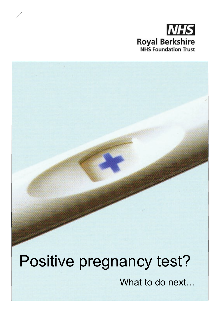# **NHS Royal Berkshire**<br>
NHS Foundation Trust

# Positive pregnancy test?

What to do next…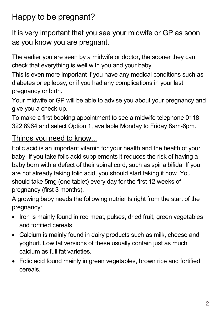## Happy to be pregnant?

It is very important that you see your midwife or GP as soon as you know you are pregnant.

The earlier you are seen by a midwife or doctor, the sooner they can check that everything is well with you and your baby.

This is even more important if you have any medical conditions such as diabetes or epilepsy, or if you had any complications in your last pregnancy or birth.

Your midwife or GP will be able to advise you about your pregnancy and give you a check-up.

To make a first booking appointment to see a midwife telephone 0118 322 8964 and select Option 1, available Monday to Friday 8am-6pm.

#### Things you need to know...

Folic acid is an important vitamin for your health and the health of your baby. If you take folic acid supplements it reduces the risk of having a baby born with a defect of their spinal cord, such as spina bifida. If you are not already taking folic acid, you should start taking it now. You should take 5mg (one tablet) every day for the first 12 weeks of pregnancy (first 3 months).

A growing baby needs the following nutrients right from the start of the pregnancy:

- Iron is mainly found in red meat, pulses, dried fruit, green vegetables and fortified cereals.
- Calcium is mainly found in dairy products such as milk, cheese and yoghurt. Low fat versions of these usually contain just as much calcium as full fat varieties.
- Folic acid found mainly in green vegetables, brown rice and fortified cereals.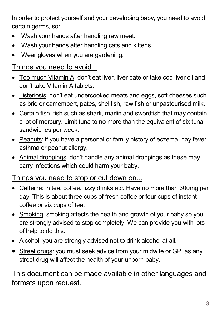In order to protect yourself and your developing baby, you need to avoid certain germs, so:

- Wash your hands after handling raw meat.
- Wash your hands after handling cats and kittens.
- Wear gloves when you are gardening.

#### Things you need to avoid...

- Too much Vitamin A: don't eat liver, liver pate or take cod liver oil and don't take Vitamin A tablets.
- Listeriosis: don't eat undercooked meats and eggs, soft cheeses such as brie or camembert, pates, shellfish, raw fish or unpasteurised milk.
- Certain fish, fish such as shark, marlin and swordfish that may contain a lot of mercury. Limit tuna to no more than the equivalent of six tuna sandwiches per week.
- Peanuts: if you have a personal or family history of eczema, hay fever, asthma or peanut allergy.
- Animal droppings: don't handle any animal droppings as these may carry infections which could harm your baby.

Things you need to stop or cut down on...

- Caffeine: in tea, coffee, fizzy drinks etc. Have no more than 300mg per day. This is about three cups of fresh coffee or four cups of instant coffee or six cups of tea.
- Smoking: smoking affects the health and growth of your baby so you are strongly advised to stop completely. We can provide you with lots of help to do this.
- Alcohol: you are strongly advised not to drink alcohol at all.
- Street drugs: you must seek advice from your midwife or GP, as any street drug will affect the health of your unborn baby.

This document can be made available in other languages and formats upon request.